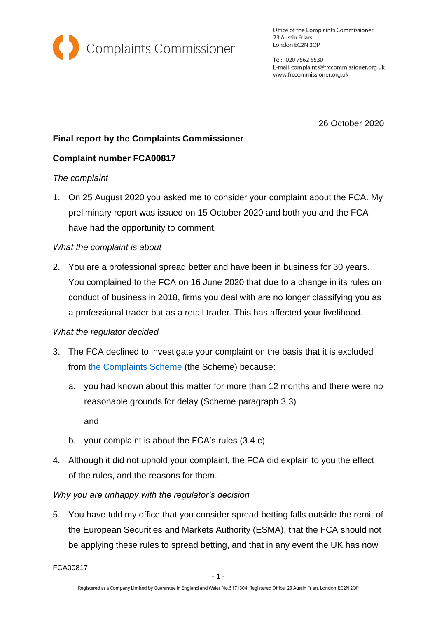

Office of the Complaints Commissioner 23 Austin Friars London EC2N 2QP

Tel: 020 7562 5530 E-mail: complaints@frccommissioner.org.uk www.frccommissioner.org.uk

26 October 2020

# **Final report by the Complaints Commissioner**

## **Complaint number FCA00817**

### *The complaint*

1. On 25 August 2020 you asked me to consider your complaint about the FCA. My preliminary report was issued on 15 October 2020 and both you and the FCA have had the opportunity to comment.

## *What the complaint is about*

2. You are a professional spread better and have been in business for 30 years. You complained to the FCA on 16 June 2020 that due to a change in its rules on conduct of business in 2018, firms you deal with are no longer classifying you as a professional trader but as a retail trader. This has affected your livelihood.

### *What the regulator decided*

- 3. The FCA declined to investigate your complaint on the basis that it is excluded from [the Complaints Scheme](https://frccommissioner.org.uk/complaints-scheme/) (the Scheme) because:
	- a. you had known about this matter for more than 12 months and there were no reasonable grounds for delay (Scheme paragraph 3.3)

and

- b. your complaint is about the FCA's rules (3.4.c)
- 4. Although it did not uphold your complaint, the FCA did explain to you the effect of the rules, and the reasons for them.

## *Why you are unhappy with the regulator's decision*

5. You have told my office that you consider spread betting falls outside the remit of the European Securities and Markets Authority (ESMA), that the FCA should not be applying these rules to spread betting, and that in any event the UK has now

FCA00817